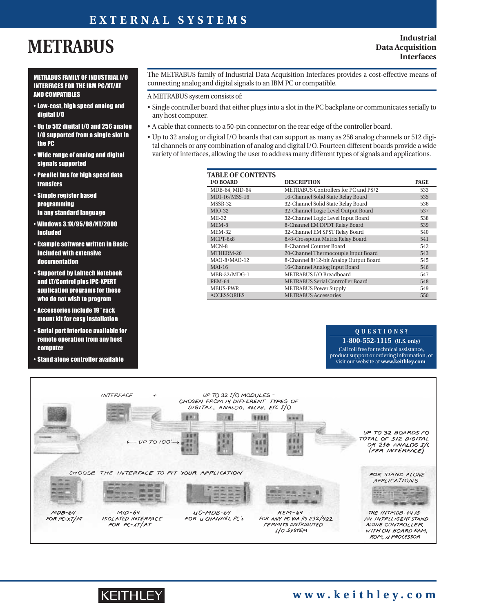### **EXTERNAL SYSTEMS**

# **METRABUS**

#### **Industrial Data Acquisition Interfaces**

#### METRABUS FAMILY OF INDUSTRIAL I/O INTERFACES FOR THE IBM PC/XT/AT AND COMPATIBLES

- Low-cost, high speed analog and digital I/O
- Up to 512 digital I/O and 256 analog I/O supported from a single slot in the PC
- Wide range of analog and digital signals supported
- Parallel bus for high speed data transfers
- Simple register based **programming** in any standard language
- Windows 3.1X/95/98/NT/2000 included
- Example software written in Basic included with extensive documentation
- Supported by Labtech Notebook and LT/Control plus IPC-XPERT application programs for those who do not wish to program
- Accessories include 19" rack mount kit for easy installation
- Serial port interface available for remote operation from any host **computer**
- Stand alone controller available

#### The METRABUS family of Industrial Data Acquisition Interfaces provides a cost-effective means of connecting analog and digital signals to an IBM PC or compatible.

A METRABUS system consists of:

- Single controller board that either plugs into a slot in the PC backplane or communicates serially to any host computer.
- A cable that connects to a 50-pin connector on the rear edge of the controller board.
- Up to 32 analog or digital I/O boards that can support as many as 256 analog channels or 512 digital channels or any combination of analog and digital I/O. Fourteen different boards provide a wide variety of interfaces, allowing the user to address many different types of signals and applications.

| <b>TABLE OF CONTENTS</b> |                                         |             |
|--------------------------|-----------------------------------------|-------------|
| <b>I/O BOARD</b>         | <b>DESCRIPTION</b>                      | <b>PAGE</b> |
| MDB-64, MID-64           | METRABUS Controllers for PC and PS/2    | 533         |
| MDI-16/MSS-16            | 16-Channel Solid State Relay Board      | 535         |
| MSSR-32                  | 32-Channel Solid State Relay Board      | 536         |
| $MIO-32$                 | 32-Channel Logic Level Output Board     | 537         |
| $MII-32$                 | 32-Channel Logic Level Input Board      | 538         |
| MEM-8                    | 8-Channel EM DPDT Relay Board           | 539         |
| <b>MEM-32</b>            | 32-Channel EM SPST Relay Board          | 540         |
| MCPT-8x8                 | 8×8-Crosspoint Matrix Relay Board       | 541         |
| $MCN-8$                  | 8-Channel Counter Board                 | 542         |
| MTHERM-20                | 20-Channel Thermocouple Input Board     | 543         |
| MAO-8/MAO-12             | 8-Channel 8/12-bit Analog Output Board  | 545         |
| $MAI-16$                 | 16-Channel Analog Input Board           | 546         |
| $MBB-32/MDG-1$           | METRABUS I/O Breadboard                 | 547         |
| <b>REM-64</b>            | <b>METRABUS Serial Controller Board</b> | 548         |
| <b>MBUS-PWR</b>          | <b>METRABUS Power Supply</b>            | 549         |
| <b>ACCESSORIES</b>       | <b>METRABUS Accessories</b>             | 550         |

### **QUESTIONS?**

**1-800-552-1115 (U.S. only)** Call toll free for technical assistance, product support or ordering information, or visit our website at **www.keithley.com**.



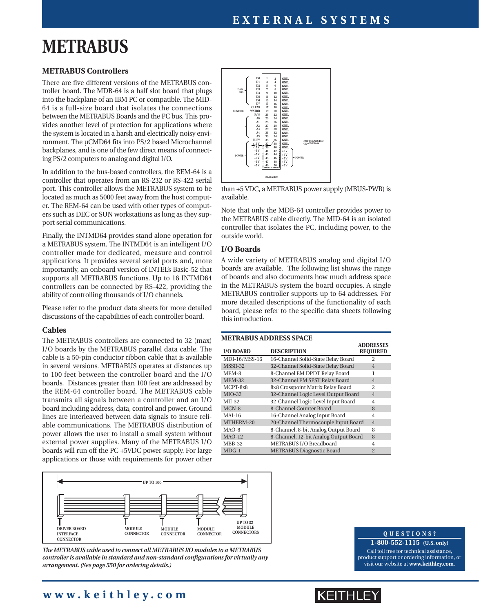# **METRABUS**

#### **METRABUS Controllers**

There are five different versions of the METRABUS controller board. The MDB-64 is a half slot board that plugs into the backplane of an IBM PC or compatible. The MID-64 is a full-size board that isolates the connections between the METRABUS Boards and the PC bus. This provides another level of protection for applications where the system is located in a harsh and electrically noisy environment. The µCMD64 fits into PS/2 based Microchannel backplanes, and is one of the few direct means of connecting PS/2 computers to analog and digital I/O.

In addition to the bus-based controllers, the REM-64 is a controller that operates from an RS-232 or RS-422 serial port. This controller allows the METRABUS system to be located as much as 5000 feet away from the host computer. The REM-64 can be used with other types of computers such as DEC or SUN workstations as long as they support serial communications.

Finally, the INTMD64 provides stand alone operation for a METRABUS system. The INTMD64 is an intelligent I/O controller made for dedicated, measure and control applications. It provides several serial ports and, more importantly, an onboard version of INTEL's Basic-52 that supports all METRABUS functions. Up to 16 INTMD64 controllers can be connected by RS-422, providing the ability of controlling thousands of I/O channels.

Please refer to the product data sheets for more detailed discussions of the capabilities of each controller board.

#### **Cables**

The METRABUS controllers are connected to 32 (max) I/O boards by the METRABUS parallel data cable. The cable is a 50-pin conductor ribbon cable that is available in several versions. METRABUS operates at distances up to 100 feet between the controller board and the I/O boards. Distances greater than 100 feet are addressed by the REM-64 controller board. The METRABUS cable transmits all signals between a controller and an I/O board including address, data, control and power. Ground lines are interleaved between data signals to insure reliable communications. The METRABUS distribution of power allows the user to install a small system without external power supplies. Many of the METRABUS I/O boards will run off the PC +5VDC power supply. For large applications or those with requirements for power other



*The METRABUS cable used to connect all METRABUS I/O modules to a METRABUS controller is available in standard and non-standard configurations for virtually any arrangement. (See page 550 for ordering details.)*

#### **1** 3579113151719212325272931333535353344434547 **49 2 4 6 8 10 12 14 16 18 20 22 24 26 28 30 32 34 36 38 40 42 44 46 48 50 GND. GND. GND. GND. GND. GND. GND. GND. GND. GND. GND. GND. GND. GND. GND. GND. GND. GND. GND. GND. +5 V +5 V +5 V +5 V +5 V D0 D1 D2 D3 D4 D5 D6 D7 CLEAR WSTRB R/W A0 A1 A2 A3 A4 A5 BUSY +15 V -15 V +5 V +5 V +5 V +5 V +5 V REAR VIEW NOT CONNECTED ONmCMDB-64 POWER**  $\begin{bmatrix} 1 & 1 & 1 & 1 \\ 1 & 1 & 1 & 1 \\ 1 & 1 & 1 & 1 \end{bmatrix}$  +  $\begin{bmatrix} 1 & 1 & 1 & 1 \\ 1 & 1 & 1 & 1 \\ 1 & 1 & 1 & 1 \end{bmatrix}$  +  $\begin{bmatrix} 1 & 1 & 1 & 1 \\ 1 & 1 & 1 & 1 \\ 1 & 1 & 1 & 1 \end{bmatrix}$  +  $\begin{bmatrix} 1 & 1 & 1 & 1 \\ 1 & 1 & 1 & 1 \\ 1 & 1 & 1 & 1 \end{bmatrix}$  +  $\begin{b$ **CONTROL DATA BUS**

than +5 VDC, a METRABUS power supply (MBUS-PWR) is available.

Note that only the MDB-64 controller provides power to the METRABUS cable directly. The MID-64 is an isolated controller that isolates the PC, including power, to the outside world.

#### **I/O Boards**

A wide variety of METRABUS analog and digital I/O boards are available. The following list shows the range of boards and also documents how much address space in the METRABUS system the board occupies. A single METRABUS controller supports up to 64 addresses. For more detailed descriptions of the functionality of each board, please refer to the specific data sheets following this introduction.

#### **METRABUS ADDRESS SPACE**

| <b>I/O BOARD</b> | <b>DESCRIPTION</b>                    | <b>ADDRESSES</b><br><b>REQUIRED</b> |
|------------------|---------------------------------------|-------------------------------------|
| MDI-16/MSS-16    | 16-Channel Solid-State Relay Board    | $\mathfrak{D}$                      |
| MSSR-32          | 32-Channel Solid-State Relay Board    | 4                                   |
| MEM-8            | 8-Channel EM DPDT Relay Board         |                                     |
| <b>MEM-32</b>    | 32-Channel EM SPST Relay Board        | $\overline{4}$                      |
| MCPT-8x8         | 8×8 Crosspoint Matrix Relay Board     | $\mathfrak{D}$                      |
| $MIO-32$         | 32-Channel Logic Level Output Board   | $\overline{4}$                      |
| MII-32           | 32-Channel Logic Level Input Board    | 4                                   |
| MCN-8            | 8-Channel Counter Board               | 8                                   |
| MAI-16           | 16-Channel Analog Input Board         | 4                                   |
| MTHERM-20        | 20-Channel Thermocouple Input Board   | $\overline{4}$                      |
| MAO-8            | 8-Channel, 8-bit Analog Output Board  | 8                                   |
| <b>MAO-12</b>    | 8-Channel, 12-bit Analog Output Board | 8                                   |
| MBB-32           | METRABUS I/O Breadboard               | 4                                   |
| $MDG-1$          | <b>METRABUS Diagnostic Board</b>      | $\overline{2}$                      |

#### **QUESTIONS?**

**1-800-552-1115 (U.S. only)** Call toll free for technical assistance, product support or ordering information, or visit our website at **www.keithley.com**.

### **www.keithley.com**

## IKEITHLEY